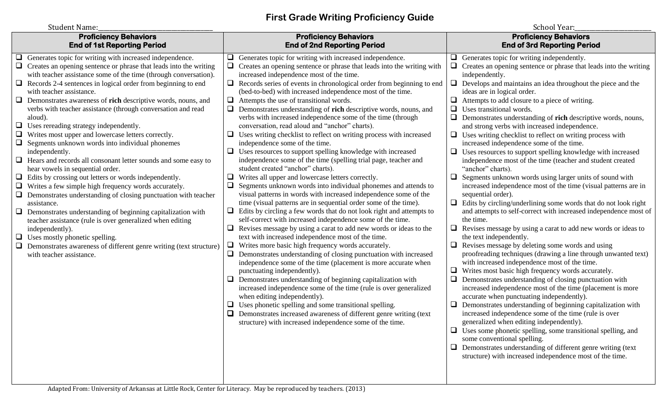## **First Grade Writing Proficiency Guide**

| <b>Student Name:</b>                                                                                                                                                                                                                                                                                                                                                                                                                                                                                                                                                                                                                                                                                                                                                                                                                                                                                                                                                                                                                                                                                                                                                                                                                                                                                              |                                                                                                                                                                                                                                                                                                                                                                                                                                                                                                                                                                                                                                                                                                                                                                                                                                                                                                                                                                                                                                                                                                                                                                                                                                                                                                                                                                                                                                                                                                                                                                                                                                                                                                                                                                                                                                                                                                                                                                                                                                                                              | School Year:                                                                                                                                                                                                                                                                                                                                                                                                                                                                                                                                                                                                                                                                                                                                                                                                                                                                                                                                                                                                                                                                                                                                                                                                                                                                                                                                                                                                                                                                                                                                                                                                                                                                                                                                                                                                                                                                                                                                                                                                       |
|-------------------------------------------------------------------------------------------------------------------------------------------------------------------------------------------------------------------------------------------------------------------------------------------------------------------------------------------------------------------------------------------------------------------------------------------------------------------------------------------------------------------------------------------------------------------------------------------------------------------------------------------------------------------------------------------------------------------------------------------------------------------------------------------------------------------------------------------------------------------------------------------------------------------------------------------------------------------------------------------------------------------------------------------------------------------------------------------------------------------------------------------------------------------------------------------------------------------------------------------------------------------------------------------------------------------|------------------------------------------------------------------------------------------------------------------------------------------------------------------------------------------------------------------------------------------------------------------------------------------------------------------------------------------------------------------------------------------------------------------------------------------------------------------------------------------------------------------------------------------------------------------------------------------------------------------------------------------------------------------------------------------------------------------------------------------------------------------------------------------------------------------------------------------------------------------------------------------------------------------------------------------------------------------------------------------------------------------------------------------------------------------------------------------------------------------------------------------------------------------------------------------------------------------------------------------------------------------------------------------------------------------------------------------------------------------------------------------------------------------------------------------------------------------------------------------------------------------------------------------------------------------------------------------------------------------------------------------------------------------------------------------------------------------------------------------------------------------------------------------------------------------------------------------------------------------------------------------------------------------------------------------------------------------------------------------------------------------------------------------------------------------------------|--------------------------------------------------------------------------------------------------------------------------------------------------------------------------------------------------------------------------------------------------------------------------------------------------------------------------------------------------------------------------------------------------------------------------------------------------------------------------------------------------------------------------------------------------------------------------------------------------------------------------------------------------------------------------------------------------------------------------------------------------------------------------------------------------------------------------------------------------------------------------------------------------------------------------------------------------------------------------------------------------------------------------------------------------------------------------------------------------------------------------------------------------------------------------------------------------------------------------------------------------------------------------------------------------------------------------------------------------------------------------------------------------------------------------------------------------------------------------------------------------------------------------------------------------------------------------------------------------------------------------------------------------------------------------------------------------------------------------------------------------------------------------------------------------------------------------------------------------------------------------------------------------------------------------------------------------------------------------------------------------------------------|
| <b>Proficiency Behaviors</b><br><b>End of 1st Reporting Period</b>                                                                                                                                                                                                                                                                                                                                                                                                                                                                                                                                                                                                                                                                                                                                                                                                                                                                                                                                                                                                                                                                                                                                                                                                                                                | <b>Proficiency Behaviors</b><br><b>End of 2nd Reporting Period</b>                                                                                                                                                                                                                                                                                                                                                                                                                                                                                                                                                                                                                                                                                                                                                                                                                                                                                                                                                                                                                                                                                                                                                                                                                                                                                                                                                                                                                                                                                                                                                                                                                                                                                                                                                                                                                                                                                                                                                                                                           | <b>Proficiency Behaviors</b><br><b>End of 3rd Reporting Period</b>                                                                                                                                                                                                                                                                                                                                                                                                                                                                                                                                                                                                                                                                                                                                                                                                                                                                                                                                                                                                                                                                                                                                                                                                                                                                                                                                                                                                                                                                                                                                                                                                                                                                                                                                                                                                                                                                                                                                                 |
| Generates topic for writing with increased independence.<br>⊔<br>$\Box$ Creates an opening sentence or phrase that leads into the writing<br>with teacher assistance some of the time (through conversation).<br>❏<br>Records 2-4 sentences in logical order from beginning to end<br>with teacher assistance.<br>$\Box$<br>Demonstrates awareness of rich descriptive words, nouns, and<br>verbs with teacher assistance (through conversation and read<br>aloud).<br>$\Box$ Uses rereading strategy independently.<br>❏<br>Writes most upper and lowercase letters correctly.<br>$\Box$<br>Segments unknown words into individual phonemes<br>independently.<br>$\Box$ Hears and records all consonant letter sounds and some easy to<br>hear vowels in sequential order.<br>$\Box$ Edits by crossing out letters or words independently.<br>$\Box$<br>Writes a few simple high frequency words accurately.<br>$\Box$ Demonstrates understanding of closing punctuation with teacher<br>assistance.<br>❏<br>Demonstrates understanding of beginning capitalization with<br>teacher assistance (rule is over generalized when editing<br>independently).<br>$\Box$<br>Uses mostly phonetic spelling.<br>$\Box$<br>Demonstrates awareness of different genre writing (text structure)<br>with teacher assistance. | Generates topic for writing with increased independence.<br>⊔<br>$\Box$<br>Creates an opening sentence or phrase that leads into the writing with<br>increased independence most of the time.<br>Records series of events in chronological order from beginning to end<br>⊔<br>(bed-to-bed) with increased independence most of the time.<br>Attempts the use of transitional words.<br>$\Box$<br>$\Box$<br>Demonstrates understanding of rich descriptive words, nouns, and<br>verbs with increased independence some of the time (through<br>conversation, read aloud and "anchor" charts).<br>Uses writing checklist to reflect on writing process with increased<br>u<br>independence some of the time.<br>$\Box$ Uses resources to support spelling knowledge with increased<br>independence some of the time (spelling trial page, teacher and<br>student created "anchor" charts).<br>❏<br>Writes all upper and lowercase letters correctly.<br>$\Box$<br>Segments unknown words into individual phonemes and attends to<br>visual patterns in words with increased independence some of the<br>time (visual patterns are in sequential order some of the time).<br>Edits by circling a few words that do not look right and attempts to<br>⊔<br>self-correct with increased independence some of the time.<br>Revises message by using a carat to add new words or ideas to the<br>text with increased independence most of the time.<br>$\Box$<br>Writes more basic high frequency words accurately.<br>Demonstrates understanding of closing punctuation with increased<br>$\Box$<br>independence some of the time (placement is more accurate when<br>punctuating independently).<br>Demonstrates understanding of beginning capitalization with<br>⊔<br>increased independence some of the time (rule is over generalized<br>when editing independently).<br>Uses phonetic spelling and some transitional spelling.<br>⊔<br>$\Box$ Demonstrates increased awareness of different genre writing (text<br>structure) with increased independence some of the time. | Generates topic for writing independently.<br>$\Box$<br>Creates an opening sentence or phrase that leads into the writing<br>$\Box$<br>independently.<br>$\Box$ Develops and maintains an idea throughout the piece and the<br>ideas are in logical order.<br>Attempts to add closure to a piece of writing.<br>Uses transitional words.<br>❏<br>$\Box$<br>Demonstrates understanding of rich descriptive words, nouns,<br>and strong verbs with increased independence.<br>$\Box$ Uses writing checklist to reflect on writing process with<br>increased independence some of the time.<br>$\Box$ Uses resources to support spelling knowledge with increased<br>independence most of the time (teacher and student created<br>"anchor" charts).<br>$\Box$<br>Segments unknown words using larger units of sound with<br>increased independence most of the time (visual patterns are in<br>sequential order).<br>$\Box$ Edits by circling/underlining some words that do not look right<br>and attempts to self-correct with increased independence most of<br>the time.<br>Revises message by using a carat to add new words or ideas to<br>u<br>the text independently.<br>Revises message by deleting some words and using<br>$\Box$<br>proofreading techniques (drawing a line through unwanted text)<br>with increased independence most of the time.<br>$\Box$ Writes most basic high frequency words accurately.<br>Demonstrates understanding of closing punctuation with<br>increased independence most of the time (placement is more<br>accurate when punctuating independently).<br>$\Box$ Demonstrates understanding of beginning capitalization with<br>increased independence some of the time (rule is over<br>generalized when editing independently).<br>$\Box$ Uses some phonetic spelling, some transitional spelling, and<br>some conventional spelling.<br>$\Box$ Demonstrates understanding of different genre writing (text)<br>structure) with increased independence most of the time. |